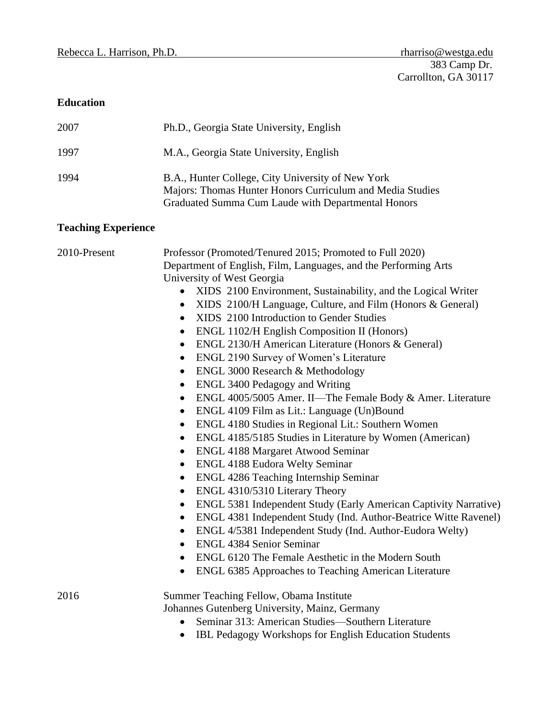# **Education**

| 2007 | Ph.D., Georgia State University, English                                                                                                                             |
|------|----------------------------------------------------------------------------------------------------------------------------------------------------------------------|
| 1997 | M.A., Georgia State University, English                                                                                                                              |
| 1994 | B.A., Hunter College, City University of New York<br>Majors: Thomas Hunter Honors Curriculum and Media Studies<br>Graduated Summa Cum Laude with Departmental Honors |

# **Teaching Experience**

| 2010-Present | Professor (Promoted/Tenured 2015; Promoted to Full 2020)<br>Department of English, Film, Languages, and the Performing Arts<br>University of West Georgia<br>• XIDS 2100 Environment, Sustainability, and the Logical Writer<br>• XIDS 2100/H Language, Culture, and Film (Honors & General)<br>XIDS 2100 Introduction to Gender Studies<br>$\bullet$<br>ENGL 1102/H English Composition II (Honors)<br>$\bullet$<br>ENGL 2130/H American Literature (Honors & General)<br>$\bullet$<br>ENGL 2190 Survey of Women's Literature<br>$\bullet$<br>ENGL 3000 Research & Methodology<br>$\bullet$<br><b>ENGL 3400 Pedagogy and Writing</b><br>$\bullet$<br>ENGL 4005/5005 Amer. II-The Female Body & Amer. Literature<br>$\bullet$<br>ENGL 4109 Film as Lit.: Language (Un)Bound<br>$\bullet$<br>ENGL 4180 Studies in Regional Lit.: Southern Women<br>$\bullet$<br>ENGL 4185/5185 Studies in Literature by Women (American)<br>$\bullet$<br><b>ENGL 4188 Margaret Atwood Seminar</b><br>٠<br><b>ENGL 4188 Eudora Welty Seminar</b><br>$\bullet$<br>ENGL 4286 Teaching Internship Seminar<br>$\bullet$<br>ENGL 4310/5310 Literary Theory<br>$\bullet$<br>ENGL 5381 Independent Study (Early American Captivity Narrative)<br>$\bullet$ |
|--------------|-----------------------------------------------------------------------------------------------------------------------------------------------------------------------------------------------------------------------------------------------------------------------------------------------------------------------------------------------------------------------------------------------------------------------------------------------------------------------------------------------------------------------------------------------------------------------------------------------------------------------------------------------------------------------------------------------------------------------------------------------------------------------------------------------------------------------------------------------------------------------------------------------------------------------------------------------------------------------------------------------------------------------------------------------------------------------------------------------------------------------------------------------------------------------------------------------------------------------------------|
|              | ENGL 4381 Independent Study (Ind. Author-Beatrice Witte Ravenel)<br>$\bullet$<br>ENGL 4/5381 Independent Study (Ind. Author-Eudora Welty)<br>$\bullet$<br><b>ENGL 4384 Senior Seminar</b><br>$\bullet$                                                                                                                                                                                                                                                                                                                                                                                                                                                                                                                                                                                                                                                                                                                                                                                                                                                                                                                                                                                                                            |
|              | ENGL 6120 The Female Aesthetic in the Modern South<br>ENGL 6385 Approaches to Teaching American Literature<br>$\bullet$                                                                                                                                                                                                                                                                                                                                                                                                                                                                                                                                                                                                                                                                                                                                                                                                                                                                                                                                                                                                                                                                                                           |
| 2016         | Summer Teaching Fellow, Obama Institute<br>Johannes Gutenberg University, Mainz, Germany<br>Seminar 313: American Studies-Southern Literature<br>IBL Pedagogy Workshops for English Education Students<br>$\bullet$                                                                                                                                                                                                                                                                                                                                                                                                                                                                                                                                                                                                                                                                                                                                                                                                                                                                                                                                                                                                               |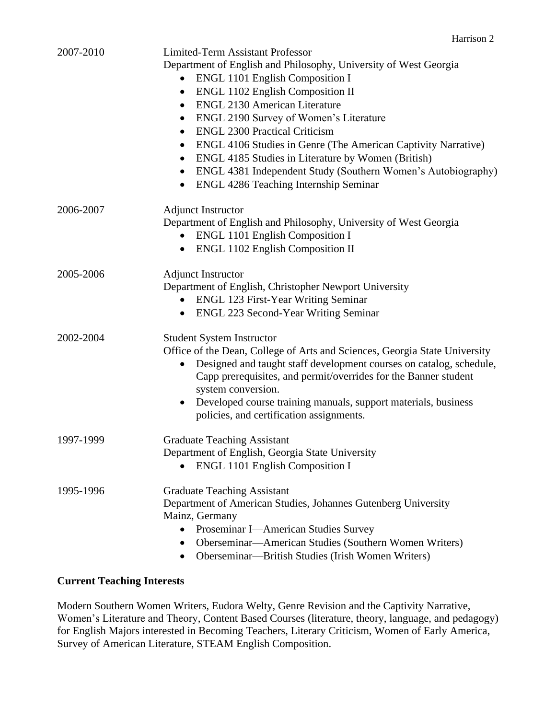| 2007-2010 | <b>Limited-Term Assistant Professor</b><br>Department of English and Philosophy, University of West Georgia<br><b>ENGL 1101 English Composition I</b><br>$\bullet$<br>ENGL 1102 English Composition II<br>$\bullet$<br><b>ENGL 2130 American Literature</b><br>$\bullet$<br>ENGL 2190 Survey of Women's Literature<br>$\bullet$<br><b>ENGL 2300 Practical Criticism</b><br>$\bullet$<br>ENGL 4106 Studies in Genre (The American Captivity Narrative)<br>$\bullet$<br>ENGL 4185 Studies in Literature by Women (British)<br>$\bullet$<br>ENGL 4381 Independent Study (Southern Women's Autobiography)<br>$\bullet$<br><b>ENGL 4286 Teaching Internship Seminar</b><br>$\bullet$ |
|-----------|---------------------------------------------------------------------------------------------------------------------------------------------------------------------------------------------------------------------------------------------------------------------------------------------------------------------------------------------------------------------------------------------------------------------------------------------------------------------------------------------------------------------------------------------------------------------------------------------------------------------------------------------------------------------------------|
| 2006-2007 | <b>Adjunct Instructor</b><br>Department of English and Philosophy, University of West Georgia<br>• ENGL 1101 English Composition I<br><b>ENGL 1102 English Composition II</b>                                                                                                                                                                                                                                                                                                                                                                                                                                                                                                   |
| 2005-2006 | <b>Adjunct Instructor</b><br>Department of English, Christopher Newport University<br><b>ENGL 123 First-Year Writing Seminar</b><br>$\bullet$<br>ENGL 223 Second-Year Writing Seminar                                                                                                                                                                                                                                                                                                                                                                                                                                                                                           |
| 2002-2004 | <b>Student System Instructor</b><br>Office of the Dean, College of Arts and Sciences, Georgia State University<br>Designed and taught staff development courses on catalog, schedule,<br>$\bullet$<br>Capp prerequisites, and permit/overrides for the Banner student<br>system conversion.<br>Developed course training manuals, support materials, business<br>$\bullet$<br>policies, and certification assignments.                                                                                                                                                                                                                                                          |
| 1997-1999 | <b>Graduate Teaching Assistant</b><br>Department of English, Georgia State University<br><b>ENGL 1101 English Composition I</b>                                                                                                                                                                                                                                                                                                                                                                                                                                                                                                                                                 |
| 1995-1996 | <b>Graduate Teaching Assistant</b><br>Department of American Studies, Johannes Gutenberg University<br>Mainz, Germany<br>Proseminar I-American Studies Survey<br>Oberseminar—American Studies (Southern Women Writers)<br>Oberseminar—British Studies (Irish Women Writers)                                                                                                                                                                                                                                                                                                                                                                                                     |

# **Current Teaching Interests**

Modern Southern Women Writers, Eudora Welty, Genre Revision and the Captivity Narrative, Women's Literature and Theory, Content Based Courses (literature, theory, language, and pedagogy) for English Majors interested in Becoming Teachers, Literary Criticism, Women of Early America, Survey of American Literature, STEAM English Composition.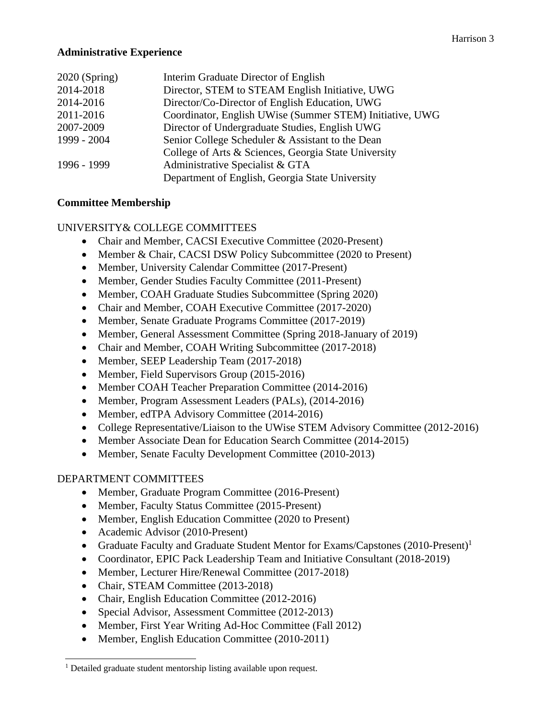## **Administrative Experience**

| $2020$ (Spring) | Interim Graduate Director of English                     |
|-----------------|----------------------------------------------------------|
| 2014-2018       | Director, STEM to STEAM English Initiative, UWG          |
| 2014-2016       | Director/Co-Director of English Education, UWG           |
| 2011-2016       | Coordinator, English UWise (Summer STEM) Initiative, UWG |
| 2007-2009       | Director of Undergraduate Studies, English UWG           |
| 1999 - 2004     | Senior College Scheduler & Assistant to the Dean         |
|                 | College of Arts & Sciences, Georgia State University     |
| 1996 - 1999     | Administrative Specialist & GTA                          |
|                 | Department of English, Georgia State University          |

## **Committee Membership**

# UNIVERSITY& COLLEGE COMMITTEES

- Chair and Member, CACSI Executive Committee (2020-Present)
- Member & Chair, CACSI DSW Policy Subcommittee (2020 to Present)
- Member, University Calendar Committee (2017-Present)
- Member, Gender Studies Faculty Committee (2011-Present)
- Member, COAH Graduate Studies Subcommittee (Spring 2020)
- Chair and Member, COAH Executive Committee (2017-2020)
- Member, Senate Graduate Programs Committee (2017-2019)
- Member, General Assessment Committee (Spring 2018-January of 2019)
- Chair and Member, COAH Writing Subcommittee (2017-2018)
- Member, SEEP Leadership Team (2017-2018)
- Member, Field Supervisors Group (2015-2016)
- Member COAH Teacher Preparation Committee (2014-2016)
- Member, Program Assessment Leaders (PALs), (2014-2016)
- Member, edTPA Advisory Committee (2014-2016)
- College Representative/Liaison to the UWise STEM Advisory Committee (2012-2016)
- Member Associate Dean for Education Search Committee (2014-2015)
- Member, Senate Faculty Development Committee (2010-2013)

#### DEPARTMENT COMMITTEES

- Member, Graduate Program Committee (2016-Present)
- Member, Faculty Status Committee (2015-Present)
- Member, English Education Committee (2020 to Present)
- Academic Advisor (2010-Present)
- Graduate Faculty and Graduate Student Mentor for Exams/Capstones (2010-Present)<sup>1</sup>
- Coordinator, EPIC Pack Leadership Team and Initiative Consultant (2018-2019)
- Member, Lecturer Hire/Renewal Committee (2017-2018)
- Chair, STEAM Committee (2013-2018)
- Chair, English Education Committee (2012-2016)
- Special Advisor, Assessment Committee (2012-2013)
- Member, First Year Writing Ad-Hoc Committee (Fall 2012)
- Member, English Education Committee (2010-2011)

<sup>&</sup>lt;sup>1</sup> Detailed graduate student mentorship listing available upon request.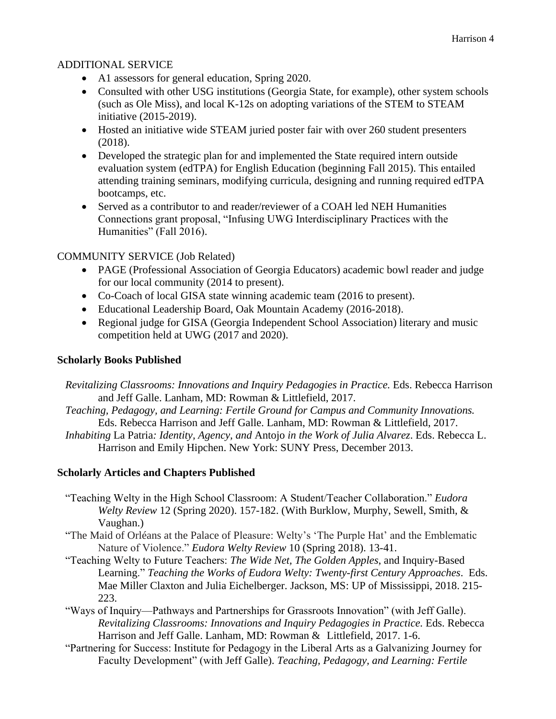# ADDITIONAL SERVICE

- A1 assessors for general education, Spring 2020.
- Consulted with other USG institutions (Georgia State, for example), other system schools (such as Ole Miss), and local K-12s on adopting variations of the STEM to STEAM initiative (2015-2019).
- Hosted an initiative wide STEAM juried poster fair with over 260 student presenters (2018).
- Developed the strategic plan for and implemented the State required intern outside evaluation system (edTPA) for English Education (beginning Fall 2015). This entailed attending training seminars, modifying curricula, designing and running required edTPA bootcamps, etc.
- Served as a contributor to and reader/reviewer of a COAH led NEH Humanities Connections grant proposal, "Infusing UWG Interdisciplinary Practices with the Humanities" (Fall 2016).

# COMMUNITY SERVICE (Job Related)

- PAGE (Professional Association of Georgia Educators) academic bowl reader and judge for our local community (2014 to present).
- Co-Coach of local GISA state winning academic team (2016 to present).
- Educational Leadership Board, Oak Mountain Academy (2016-2018).
- Regional judge for GISA (Georgia Independent School Association) literary and music competition held at UWG (2017 and 2020).

# **Scholarly Books Published**

- *Revitalizing Classrooms: Innovations and Inquiry Pedagogies in Practice.* Eds. Rebecca Harrison and Jeff Galle. Lanham, MD: Rowman & Littlefield, 2017.
- *Teaching, Pedagogy, and Learning: Fertile Ground for Campus and Community Innovations.*  Eds. Rebecca Harrison and Jeff Galle. Lanham, MD: Rowman & Littlefield, 2017.
- *Inhabiting* La Patria*: Identity, Agency, and* Antojo *in the Work of Julia Alvarez*. Eds. Rebecca L. Harrison and Emily Hipchen. New York: SUNY Press, December 2013.

# **Scholarly Articles and Chapters Published**

- "Teaching Welty in the High School Classroom: A Student/Teacher Collaboration." *Eudora Welty Review* 12 (Spring 2020). 157-182. (With Burklow, Murphy, Sewell, Smith, & Vaughan.)
- "The Maid of Orléans at the Palace of Pleasure: Welty's 'The Purple Hat' and the Emblematic Nature of Violence." *Eudora Welty Review* 10 (Spring 2018). 13-41.
- "Teaching Welty to Future Teachers: *The Wide Net, The Golden Apples*, and Inquiry-Based Learning." *Teaching the Works of Eudora Welty: Twenty-first Century Approaches*. Eds. Mae Miller Claxton and Julia Eichelberger. Jackson, MS: UP of Mississippi, 2018. 215- 223.
- "Ways of Inquiry—Pathways and Partnerships for Grassroots Innovation" (with Jeff Galle). *Revitalizing Classrooms: Innovations and Inquiry Pedagogies in Practice. Eds. Rebecca* Harrison and Jeff Galle. Lanham, MD: Rowman & Littlefield, 2017. 1-6.
- "Partnering for Success: Institute for Pedagogy in the Liberal Arts as a Galvanizing Journey for Faculty Development" (with Jeff Galle). *Teaching, Pedagogy, and Learning: Fertile*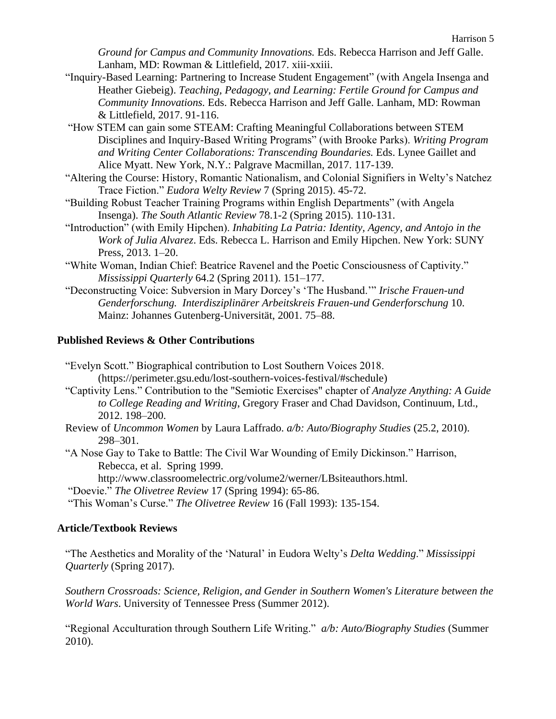*Ground for Campus and Community Innovations.* Eds. Rebecca Harrison and Jeff Galle. Lanham, MD: Rowman & Littlefield, 2017. xiii-xxiii.

- "Inquiry-Based Learning: Partnering to Increase Student Engagement" (with Angela Insenga and Heather Giebeig). *Teaching, Pedagogy, and Learning: Fertile Ground for Campus and Community Innovations.* Eds. Rebecca Harrison and Jeff Galle. Lanham, MD: Rowman & Littlefield, 2017. 91-116.
- "How STEM can gain some STEAM: Crafting Meaningful Collaborations between STEM Disciplines and Inquiry-Based Writing Programs" (with Brooke Parks). *Writing Program and Writing Center Collaborations: Transcending Boundaries.* Eds. Lynee Gaillet and Alice Myatt. New York, N.Y.: Palgrave Macmillan, 2017. 117-139.
- "Altering the Course: History, Romantic Nationalism, and Colonial Signifiers in Welty's Natchez Trace Fiction." *Eudora Welty Review* 7 (Spring 2015). 45-72.
- "Building Robust Teacher Training Programs within English Departments" (with Angela Insenga). *The South Atlantic Review* 78.1-2 (Spring 2015). 110-131.
- "Introduction" (with Emily Hipchen). *Inhabiting La Patria: Identity, Agency, and Antojo in the Work of Julia Alvarez*. Eds. Rebecca L. Harrison and Emily Hipchen. New York: SUNY Press, 2013. 1–20.
- "White Woman, Indian Chief: Beatrice Ravenel and the Poetic Consciousness of Captivity." *Mississippi Quarterly* 64.2 (Spring 2011). 151–177.
- "Deconstructing Voice: Subversion in Mary Dorcey's 'The Husband.'" *Irische Frauen-und Genderforschung. Interdisziplinärer Arbeitskreis Frauen-und Genderforschung* 10. Mainz: Johannes Gutenberg-Universität, 2001. 75–88.

# **Published Reviews & Other Contributions**

"Evelyn Scott." Biographical contribution to Lost Southern Voices 2018. (https://perimeter.gsu.edu/lost-southern-voices-festival/#schedule)

- "Captivity Lens." Contribution to the "Semiotic Exercises" chapter of *Analyze Anything: A Guide to College Reading and Writing*, Gregory Fraser and Chad Davidson, Continuum, Ltd., 2012. 198–200.
- Review of *Uncommon Women* by Laura Laffrado. *a/b: Auto/Biography Studies* (25.2, 2010). 298–301.
- "A Nose Gay to Take to Battle: The Civil War Wounding of Emily Dickinson." Harrison, Rebecca, et al. Spring 1999.

http://www.classroomelectric.org/volume2/werner/LBsiteauthors.html.

"Doevie." *The Olivetree Review* 17 (Spring 1994): 65-86.

"This Woman's Curse." *The Olivetree Review* 16 (Fall 1993): 135-154.

# **Article/Textbook Reviews**

"The Aesthetics and Morality of the 'Natural' in Eudora Welty's *Delta Wedding*." *Mississippi Quarterly* (Spring 2017).

*Southern Crossroads: Science, Religion, and Gender in Southern Women's Literature between the World Wars*. University of Tennessee Press (Summer 2012).

"Regional Acculturation through Southern Life Writing." *a/b: Auto/Biography Studies* (Summer 2010).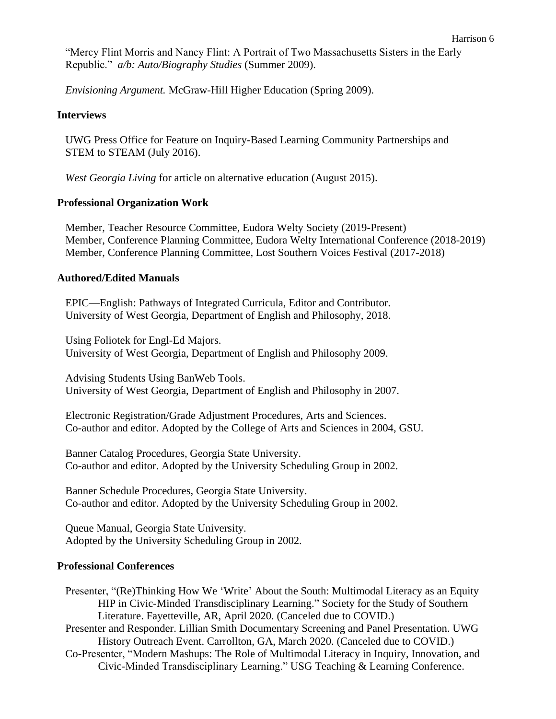"Mercy Flint Morris and Nancy Flint: A Portrait of Two Massachusetts Sisters in the Early Republic." *a/b: Auto/Biography Studies* (Summer 2009).

*Envisioning Argument.* McGraw-Hill Higher Education (Spring 2009).

#### **Interviews**

UWG Press Office for Feature on Inquiry-Based Learning Community Partnerships and STEM to STEAM (July 2016).

*West Georgia Living* for article on alternative education (August 2015).

#### **Professional Organization Work**

Member, Teacher Resource Committee, Eudora Welty Society (2019-Present) Member, Conference Planning Committee, Eudora Welty International Conference (2018-2019) Member, Conference Planning Committee, Lost Southern Voices Festival (2017-2018)

#### **Authored/Edited Manuals**

EPIC—English: Pathways of Integrated Curricula, Editor and Contributor. University of West Georgia, Department of English and Philosophy, 2018.

Using Foliotek for Engl-Ed Majors. University of West Georgia, Department of English and Philosophy 2009.

Advising Students Using BanWeb Tools. University of West Georgia, Department of English and Philosophy in 2007.

Electronic Registration/Grade Adjustment Procedures, Arts and Sciences. Co-author and editor. Adopted by the College of Arts and Sciences in 2004, GSU.

Banner Catalog Procedures, Georgia State University. Co-author and editor. Adopted by the University Scheduling Group in 2002.

Banner Schedule Procedures, Georgia State University. Co-author and editor. Adopted by the University Scheduling Group in 2002.

Queue Manual, Georgia State University. Adopted by the University Scheduling Group in 2002.

#### **Professional Conferences**

Presenter, "(Re)Thinking How We 'Write' About the South: Multimodal Literacy as an Equity HIP in Civic-Minded Transdisciplinary Learning." Society for the Study of Southern Literature. Fayetteville, AR, April 2020. (Canceled due to COVID.)

Presenter and Responder. Lillian Smith Documentary Screening and Panel Presentation. UWG History Outreach Event. Carrollton, GA, March 2020. (Canceled due to COVID.)

Co-Presenter, "Modern Mashups: The Role of Multimodal Literacy in Inquiry, Innovation, and Civic-Minded Transdisciplinary Learning." USG Teaching & Learning Conference.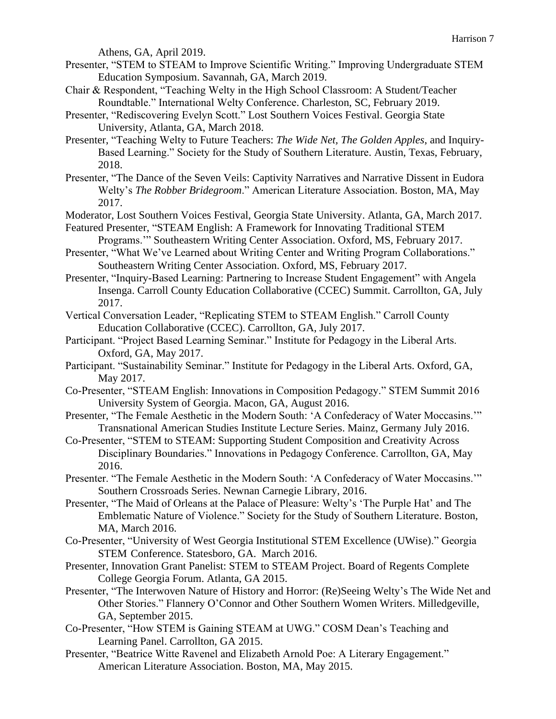Athens, GA, April 2019.

- Presenter, "STEM to STEAM to Improve Scientific Writing." Improving Undergraduate STEM Education Symposium. Savannah, GA, March 2019.
- Chair & Respondent, "Teaching Welty in the High School Classroom: A Student/Teacher Roundtable." International Welty Conference. Charleston, SC, February 2019.
- Presenter, "Rediscovering Evelyn Scott." Lost Southern Voices Festival. Georgia State University, Atlanta, GA, March 2018.
- Presenter, "Teaching Welty to Future Teachers: *The Wide Net, The Golden Apples*, and Inquiry-Based Learning." Society for the Study of Southern Literature. Austin, Texas, February, 2018.
- Presenter, "The Dance of the Seven Veils: Captivity Narratives and Narrative Dissent in Eudora Welty's *The Robber Bridegroom*." American Literature Association. Boston, MA, May 2017.
- Moderator, Lost Southern Voices Festival, Georgia State University. Atlanta, GA, March 2017.
- Featured Presenter, "STEAM English: A Framework for Innovating Traditional STEM Programs.'" Southeastern Writing Center Association. Oxford, MS, February 2017.
- Presenter, "What We've Learned about Writing Center and Writing Program Collaborations." Southeastern Writing Center Association. Oxford, MS, February 2017.
- Presenter, "Inquiry-Based Learning: Partnering to Increase Student Engagement" with Angela Insenga. Carroll County Education Collaborative (CCEC) Summit. Carrollton, GA, July 2017.
- Vertical Conversation Leader, "Replicating STEM to STEAM English." Carroll County Education Collaborative (CCEC). Carrollton, GA, July 2017.
- Participant. "Project Based Learning Seminar." Institute for Pedagogy in the Liberal Arts. Oxford, GA, May 2017.
- Participant. "Sustainability Seminar." Institute for Pedagogy in the Liberal Arts. Oxford, GA, May 2017.
- Co-Presenter, "STEAM English: Innovations in Composition Pedagogy." STEM Summit 2016 University System of Georgia. Macon, GA, August 2016.
- Presenter, "The Female Aesthetic in the Modern South: 'A Confederacy of Water Moccasins.'" Transnational American Studies Institute Lecture Series. Mainz, Germany July 2016.
- Co-Presenter, "STEM to STEAM: Supporting Student Composition and Creativity Across Disciplinary Boundaries." Innovations in Pedagogy Conference. Carrollton, GA, May 2016.
- Presenter. "The Female Aesthetic in the Modern South: 'A Confederacy of Water Moccasins.'" Southern Crossroads Series. Newnan Carnegie Library, 2016.
- Presenter, "The Maid of Orleans at the Palace of Pleasure: Welty's 'The Purple Hat' and The Emblematic Nature of Violence." Society for the Study of Southern Literature. Boston, MA, March 2016.
- Co-Presenter, ["University of West Georgia Institutional STEM Excellence \(UWise\).](http://digitalcommons.georgiasouthern.edu/stem/2016/2016/23)" Georgia STEM Conference. Statesboro, GA. March 2016.
- Presenter, Innovation Grant Panelist: STEM to STEAM Project. Board of Regents Complete College Georgia Forum. Atlanta, GA 2015.
- Presenter, "The Interwoven Nature of History and Horror: (Re)Seeing Welty's The Wide Net and Other Stories." Flannery O'Connor and Other Southern Women Writers. Milledgeville, GA, September 2015.
- Co-Presenter, "How STEM is Gaining STEAM at UWG." COSM Dean's Teaching and Learning Panel. Carrollton, GA 2015.
- Presenter, "Beatrice Witte Ravenel and Elizabeth Arnold Poe: A Literary Engagement." American Literature Association. Boston, MA, May 2015.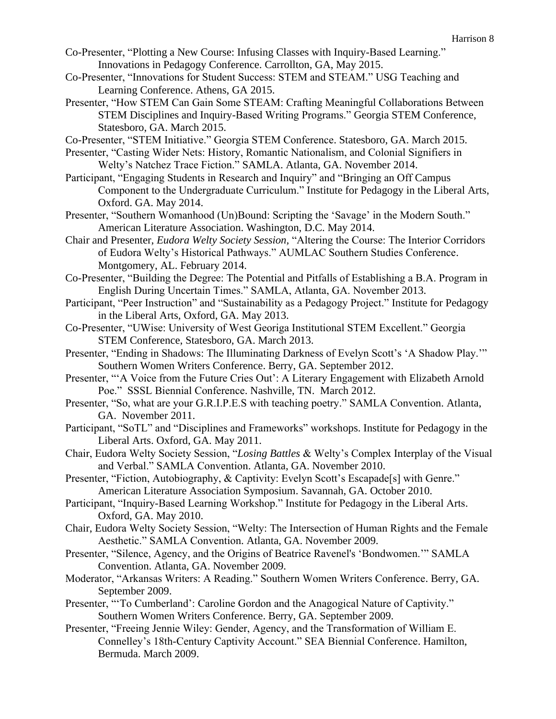- Co-Presenter, "Plotting a New Course: Infusing Classes with Inquiry-Based Learning." Innovations in Pedagogy Conference. Carrollton, GA, May 2015.
- Co-Presenter, "Innovations for Student Success: STEM and STEAM." USG Teaching and Learning Conference. Athens, GA 2015.
- Presenter, "How STEM Can Gain Some STEAM: Crafting Meaningful Collaborations Between STEM Disciplines and Inquiry-Based Writing Programs." Georgia STEM Conference, Statesboro, GA. March 2015.

Co-Presenter, "STEM Initiative." Georgia STEM Conference. Statesboro, GA. March 2015.

- Presenter, "Casting Wider Nets: History, Romantic Nationalism, and Colonial Signifiers in Welty's Natchez Trace Fiction." SAMLA. Atlanta, GA. November 2014.
- Participant, "Engaging Students in Research and Inquiry" and "Bringing an Off Campus Component to the Undergraduate Curriculum." Institute for Pedagogy in the Liberal Arts, Oxford. GA. May 2014.
- Presenter, "Southern Womanhood (Un)Bound: Scripting the 'Savage' in the Modern South." American Literature Association. Washington, D.C. May 2014.
- Chair and Presenter, *Eudora Welty Society Session,* "Altering the Course: The Interior Corridors of Eudora Welty's Historical Pathways." AUMLAC Southern Studies Conference. Montgomery, AL. February 2014.
- Co-Presenter, "Building the Degree: The Potential and Pitfalls of Establishing a B.A. Program in English During Uncertain Times." SAMLA, Atlanta, GA. November 2013.
- Participant, "Peer Instruction" and "Sustainability as a Pedagogy Project." Institute for Pedagogy in the Liberal Arts, Oxford, GA. May 2013.
- Co-Presenter, "UWise: University of West Georiga Institutional STEM Excellent." Georgia STEM Conference, Statesboro, GA. March 2013.
- Presenter, "Ending in Shadows: The Illuminating Darkness of Evelyn Scott's 'A Shadow Play.'" Southern Women Writers Conference. Berry, GA. September 2012.
- Presenter, "A Voice from the Future Cries Out': A Literary Engagement with Elizabeth Arnold Poe." SSSL Biennial Conference. Nashville, TN. March 2012.
- Presenter, "So, what are your G.R.I.P.E.S with teaching poetry." SAMLA Convention. Atlanta, GA. November 2011.
- Participant, "SoTL" and "Disciplines and Frameworks" workshops. Institute for Pedagogy in the Liberal Arts. Oxford, GA. May 2011.
- Chair, Eudora Welty Society Session, "*Losing Battles* & Welty's Complex Interplay of the Visual and Verbal." SAMLA Convention. Atlanta, GA. November 2010.
- Presenter, "Fiction, Autobiography, & Captivity: Evelyn Scott's Escapade [s] with Genre." American Literature Association Symposium. Savannah, GA. October 2010.
- Participant, "Inquiry-Based Learning Workshop." Institute for Pedagogy in the Liberal Arts. Oxford, GA. May 2010.
- Chair, Eudora Welty Society Session, "Welty: The Intersection of Human Rights and the Female Aesthetic." SAMLA Convention. Atlanta, GA. November 2009.
- Presenter, "Silence, Agency, and the Origins of Beatrice Ravenel's 'Bondwomen.'" SAMLA Convention. Atlanta, GA. November 2009.
- Moderator, "Arkansas Writers: A Reading." Southern Women Writers Conference. Berry, GA. September 2009.
- Presenter, "'To Cumberland': Caroline Gordon and the Anagogical Nature of Captivity." Southern Women Writers Conference. Berry, GA. September 2009.
- Presenter, "Freeing Jennie Wiley: Gender, Agency, and the Transformation of William E. Connelley's 18th-Century Captivity Account." SEA Biennial Conference. Hamilton, Bermuda. March 2009.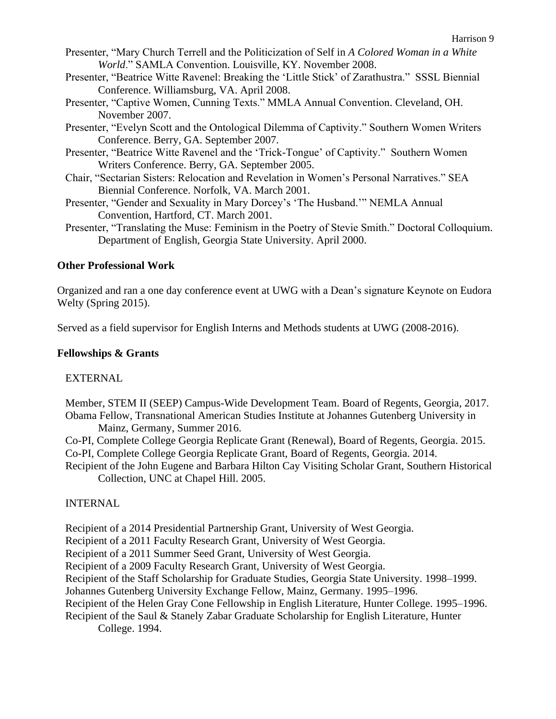- Presenter, "Mary Church Terrell and the Politicization of Self in *A Colored Woman in a White World*." SAMLA Convention. Louisville, KY. November 2008.
- Presenter, "Beatrice Witte Ravenel: Breaking the 'Little Stick' of Zarathustra." SSSL Biennial Conference. Williamsburg, VA. April 2008.
- Presenter, "Captive Women, Cunning Texts." MMLA Annual Convention. Cleveland, OH. November 2007.
- Presenter, "Evelyn Scott and the Ontological Dilemma of Captivity." Southern Women Writers Conference. Berry, GA. September 2007.
- Presenter, "Beatrice Witte Ravenel and the 'Trick-Tongue' of Captivity." Southern Women Writers Conference. Berry, GA. September 2005.
- Chair, "Sectarian Sisters: Relocation and Revelation in Women's Personal Narratives." SEA Biennial Conference. Norfolk, VA. March 2001.
- Presenter, "Gender and Sexuality in Mary Dorcey's 'The Husband.'" NEMLA Annual Convention, Hartford, CT. March 2001.
- Presenter, "Translating the Muse: Feminism in the Poetry of Stevie Smith." Doctoral Colloquium. Department of English, Georgia State University. April 2000.

## **Other Professional Work**

Organized and ran a one day conference event at UWG with a Dean's signature Keynote on Eudora Welty (Spring 2015).

Served as a field supervisor for English Interns and Methods students at UWG (2008-2016).

## **Fellowships & Grants**

# EXTERNAL

Member, STEM II (SEEP) Campus-Wide Development Team. Board of Regents, Georgia, 2017. Obama Fellow, Transnational American Studies Institute at Johannes Gutenberg University in

Mainz, Germany, Summer 2016.

Co-PI, Complete College Georgia Replicate Grant (Renewal), Board of Regents, Georgia. 2015.

Co-PI, Complete College Georgia Replicate Grant, Board of Regents, Georgia. 2014.

Recipient of the John Eugene and Barbara Hilton Cay Visiting Scholar Grant, Southern Historical Collection, UNC at Chapel Hill. 2005.

# INTERNAL

Recipient of a 2014 Presidential Partnership Grant, University of West Georgia.

Recipient of a 2011 Faculty Research Grant, University of West Georgia.

Recipient of a 2011 Summer Seed Grant, University of West Georgia.

Recipient of a 2009 Faculty Research Grant, University of West Georgia.

Recipient of the Staff Scholarship for Graduate Studies, Georgia State University. 1998–1999.

Johannes Gutenberg University Exchange Fellow, Mainz, Germany. 1995–1996.

Recipient of the Helen Gray Cone Fellowship in English Literature, Hunter College. 1995–1996.

Recipient of the Saul & Stanely Zabar Graduate Scholarship for English Literature, Hunter College. 1994.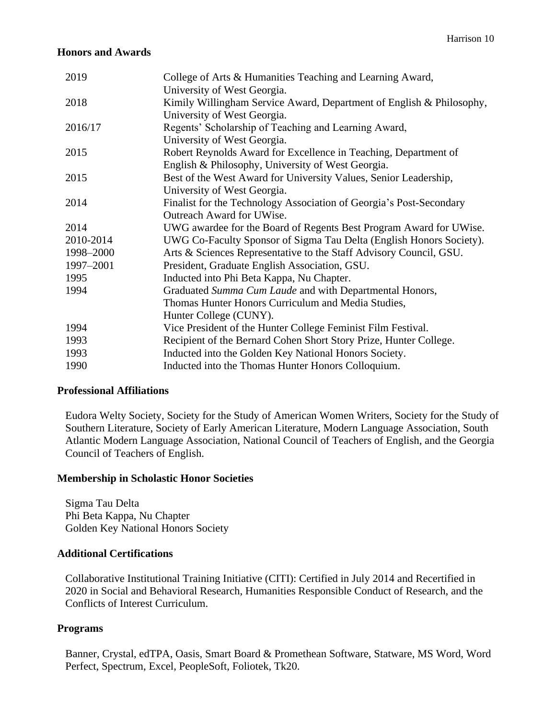#### **Honors and Awards**

| 2019      | College of Arts & Humanities Teaching and Learning Award,            |
|-----------|----------------------------------------------------------------------|
|           | University of West Georgia.                                          |
| 2018      | Kimily Willingham Service Award, Department of English & Philosophy, |
|           | University of West Georgia.                                          |
| 2016/17   | Regents' Scholarship of Teaching and Learning Award,                 |
|           | University of West Georgia.                                          |
| 2015      | Robert Reynolds Award for Excellence in Teaching, Department of      |
|           | English & Philosophy, University of West Georgia.                    |
| 2015      | Best of the West Award for University Values, Senior Leadership,     |
|           | University of West Georgia.                                          |
| 2014      | Finalist for the Technology Association of Georgia's Post-Secondary  |
|           | Outreach Award for UWise.                                            |
| 2014      | UWG awardee for the Board of Regents Best Program Award for UWise.   |
| 2010-2014 | UWG Co-Faculty Sponsor of Sigma Tau Delta (English Honors Society).  |
| 1998-2000 | Arts & Sciences Representative to the Staff Advisory Council, GSU.   |
| 1997-2001 | President, Graduate English Association, GSU.                        |
| 1995      | Inducted into Phi Beta Kappa, Nu Chapter.                            |
| 1994      | Graduated Summa Cum Laude and with Departmental Honors,              |
|           | Thomas Hunter Honors Curriculum and Media Studies,                   |
|           | Hunter College (CUNY).                                               |
| 1994      | Vice President of the Hunter College Feminist Film Festival.         |
| 1993      | Recipient of the Bernard Cohen Short Story Prize, Hunter College.    |
| 1993      | Inducted into the Golden Key National Honors Society.                |
| 1990      | Inducted into the Thomas Hunter Honors Colloquium.                   |

#### **Professional Affiliations**

Eudora Welty Society, Society for the Study of American Women Writers, Society for the Study of Southern Literature, Society of Early American Literature, Modern Language Association, South Atlantic Modern Language Association, National Council of Teachers of English, and the Georgia Council of Teachers of English.

#### **Membership in Scholastic Honor Societies**

Sigma Tau Delta Phi Beta Kappa, Nu Chapter Golden Key National Honors Society

#### **Additional Certifications**

Collaborative Institutional Training Initiative (CITI): Certified in July 2014 and Recertified in 2020 in Social and Behavioral Research, Humanities Responsible Conduct of Research, and the Conflicts of Interest Curriculum.

#### **Programs**

Banner, Crystal, edTPA, Oasis, Smart Board & Promethean Software, Statware, MS Word, Word Perfect, Spectrum, Excel, PeopleSoft, Foliotek, Tk20.